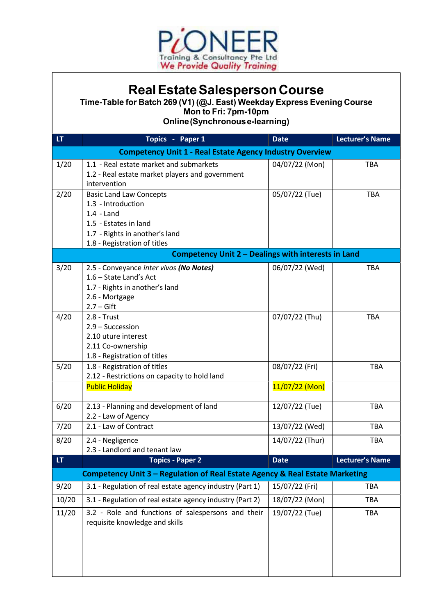

## Real Estate Salesperson Course

Time-Table for Batch 269 (V1) (@J. East) Weekday Express Evening Course Mon to Fri: 7pm-10pm

Online (Synchronous e-learning)

| LT                                                                           | Topics - Paper 1                                                                                                                                                | <b>Date</b>     | <b>Lecturer's Name</b> |  |  |
|------------------------------------------------------------------------------|-----------------------------------------------------------------------------------------------------------------------------------------------------------------|-----------------|------------------------|--|--|
| <b>Competency Unit 1 - Real Estate Agency Industry Overview</b>              |                                                                                                                                                                 |                 |                        |  |  |
| 1/20                                                                         | 1.1 - Real estate market and submarkets<br>1.2 - Real estate market players and government<br>intervention                                                      | 04/07/22 (Mon)  | <b>TBA</b>             |  |  |
| 2/20                                                                         | <b>Basic Land Law Concepts</b><br>1.3 - Introduction<br>$1.4 -$ Land<br>1.5 - Estates in land<br>1.7 - Rights in another's land<br>1.8 - Registration of titles | 05/07/22 (Tue)  | <b>TBA</b>             |  |  |
| Competency Unit 2 - Dealings with interests in Land                          |                                                                                                                                                                 |                 |                        |  |  |
| 3/20                                                                         | 2.5 - Conveyance inter vivos (No Notes)<br>1.6 - State Land's Act<br>1.7 - Rights in another's land<br>2.6 - Mortgage<br>$2.7 - Gift$                           | 06/07/22 (Wed)  | <b>TBA</b>             |  |  |
| 4/20                                                                         | $2.8 - Trust$<br>2.9 - Succession<br>2.10 uture interest<br>2.11 Co-ownership<br>1.8 - Registration of titles                                                   | 07/07/22 (Thu)  | <b>TBA</b>             |  |  |
| 5/20                                                                         | 1.8 - Registration of titles<br>2.12 - Restrictions on capacity to hold land                                                                                    | 08/07/22 (Fri)  | <b>TBA</b>             |  |  |
|                                                                              | <b>Public Holiday</b>                                                                                                                                           | 11/07/22 (Mon)  |                        |  |  |
| 6/20                                                                         | 2.13 - Planning and development of land<br>2.2 - Law of Agency                                                                                                  | 12/07/22 (Tue)  | <b>TBA</b>             |  |  |
| 7/20                                                                         | 2.1 - Law of Contract                                                                                                                                           | 13/07/22 (Wed)  | <b>TBA</b>             |  |  |
| 8/20                                                                         | 2.4 - Negligence<br>2.3 - Landlord and tenant law                                                                                                               | 14/07/22 (Thur) | <b>TBA</b>             |  |  |
| LT                                                                           | <b>Topics - Paper 2</b>                                                                                                                                         | <b>Date</b>     | <b>Lecturer's Name</b> |  |  |
| Competency Unit 3 - Regulation of Real Estate Agency & Real Estate Marketing |                                                                                                                                                                 |                 |                        |  |  |
| 9/20                                                                         | 3.1 - Regulation of real estate agency industry (Part 1)                                                                                                        | 15/07/22 (Fri)  | TBA                    |  |  |
| 10/20                                                                        | 3.1 - Regulation of real estate agency industry (Part 2)                                                                                                        | 18/07/22 (Mon)  | <b>TBA</b>             |  |  |
| 11/20                                                                        | 3.2 - Role and functions of salespersons and their<br>requisite knowledge and skills                                                                            | 19/07/22 (Tue)  | TBA                    |  |  |